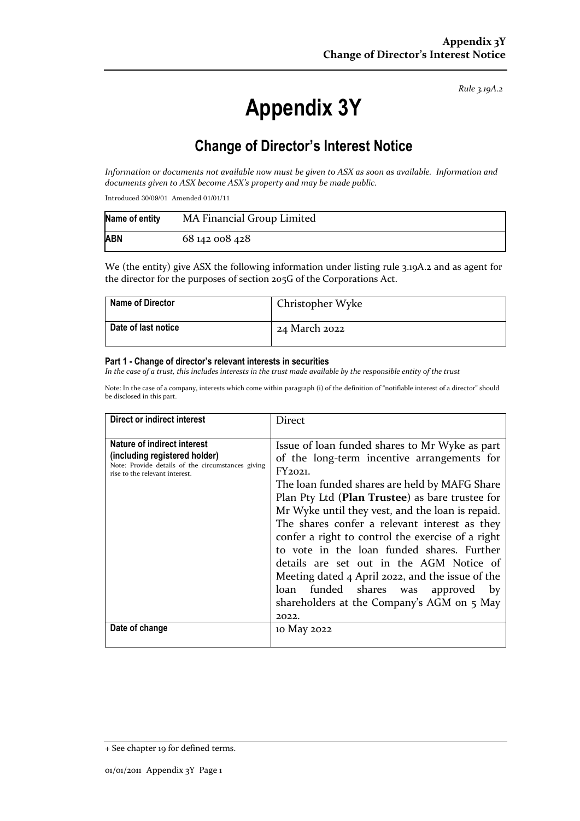*Rule 3.19A.2*

# **Appendix 3Y**

# **Change of Director's Interest Notice**

*Information or documents not available now must be given to ASX as soon as available. Information and documents given to ASX become ASX's property and may be made public.*

Introduced 30/09/01 Amended 01/01/11

| Name of entity | MA Financial Group Limited |
|----------------|----------------------------|
| <b>ABN</b>     | 68 142 008 428             |

We (the entity) give ASX the following information under listing rule 3.19A.2 and as agent for the director for the purposes of section 205G of the Corporations Act.

| <b>Name of Director</b> | Christopher Wyke |
|-------------------------|------------------|
| Date of last notice     | 24 March 2022    |

#### **Part 1 - Change of director's relevant interests in securities**

*In the case of a trust, this includes interests in the trust made available by the responsible entity of the trust*

Note: In the case of a company, interests which come within paragraph (i) of the definition of "notifiable interest of a director" should be disclosed in this part.

| Direct or indirect interest                                                                                                                                           | <b>Direct</b>                                                                                                                                                                                                                                                                                                                                                                                                                                                                                                                                                                                                     |
|-----------------------------------------------------------------------------------------------------------------------------------------------------------------------|-------------------------------------------------------------------------------------------------------------------------------------------------------------------------------------------------------------------------------------------------------------------------------------------------------------------------------------------------------------------------------------------------------------------------------------------------------------------------------------------------------------------------------------------------------------------------------------------------------------------|
| Nature of indirect interest<br>(including registered holder)<br>Note: Provide details of the circumstances giving<br>rise to the relevant interest.<br>Date of change | Issue of loan funded shares to Mr Wyke as part<br>of the long-term incentive arrangements for<br>FY2021.<br>The loan funded shares are held by MAFG Share<br>Plan Pty Ltd (Plan Trustee) as bare trustee for<br>Mr Wyke until they vest, and the loan is repaid.<br>The shares confer a relevant interest as they<br>confer a right to control the exercise of a right<br>to vote in the loan funded shares. Further<br>details are set out in the AGM Notice of<br>Meeting dated 4 April 2022, and the issue of the<br>loan funded shares was approved by<br>shareholders at the Company's AGM on 5 May<br>2022. |
|                                                                                                                                                                       | 10 May 2022                                                                                                                                                                                                                                                                                                                                                                                                                                                                                                                                                                                                       |

<sup>+</sup> See chapter 19 for defined terms.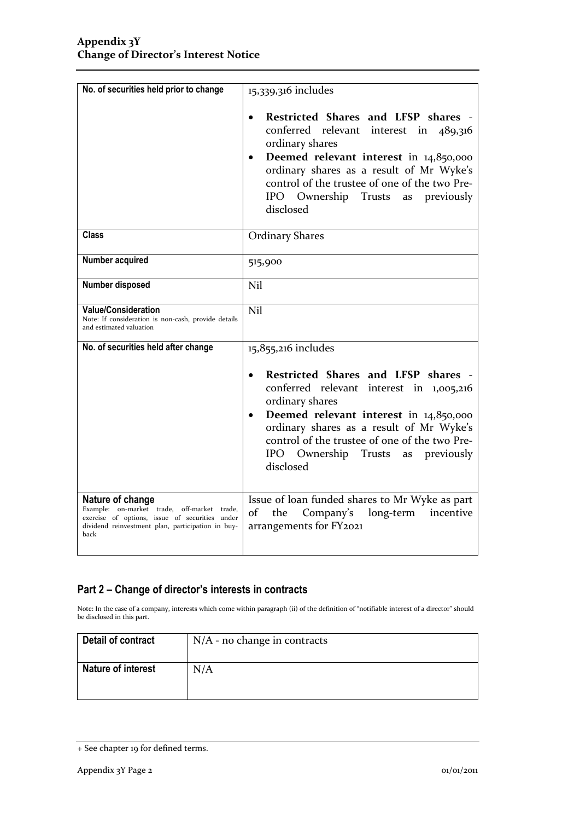| No. of securities held prior to change                                                                                                                                         | 15,339,316 includes                                                                                                                                                                                                                                                                                                       |
|--------------------------------------------------------------------------------------------------------------------------------------------------------------------------------|---------------------------------------------------------------------------------------------------------------------------------------------------------------------------------------------------------------------------------------------------------------------------------------------------------------------------|
|                                                                                                                                                                                | Restricted Shares and LFSP shares -<br>conferred relevant interest in<br>489,316<br>ordinary shares<br>Deemed relevant interest in 14,850,000<br>$\bullet$<br>ordinary shares as a result of Mr Wyke's<br>control of the trustee of one of the two Pre-<br>IPO Ownership Trusts<br>previously<br>as<br>disclosed          |
| <b>Class</b>                                                                                                                                                                   | <b>Ordinary Shares</b>                                                                                                                                                                                                                                                                                                    |
| Number acquired                                                                                                                                                                | 515,900                                                                                                                                                                                                                                                                                                                   |
| Number disposed                                                                                                                                                                | <b>Nil</b>                                                                                                                                                                                                                                                                                                                |
| <b>Value/Consideration</b><br>Note: If consideration is non-cash, provide details<br>and estimated valuation                                                                   | Nil                                                                                                                                                                                                                                                                                                                       |
| No. of securities held after change                                                                                                                                            | 15,855,216 includes                                                                                                                                                                                                                                                                                                       |
|                                                                                                                                                                                | Restricted Shares and LFSP shares -<br>$\bullet$<br>conferred relevant interest in 1,005,216<br>ordinary shares<br>Deemed relevant interest in 14,850,000<br>$\bullet$<br>ordinary shares as a result of Mr Wyke's<br>control of the trustee of one of the two Pre-<br>IPO Ownership Trusts<br>as previously<br>disclosed |
| Nature of change<br>Example: on-market trade, off-market trade,<br>exercise of options, issue of securities under<br>dividend reinvestment plan, participation in buy-<br>back | Issue of loan funded shares to Mr Wyke as part<br>of<br>the<br>Company's<br>long-term<br>incentive<br>arrangements for FY2021                                                                                                                                                                                             |

### **Part 2 – Change of director's interests in contracts**

Note: In the case of a company, interests which come within paragraph (ii) of the definition of "notifiable interest of a director" should be disclosed in this part.

| Detail of contract | $N/A$ - no change in contracts |
|--------------------|--------------------------------|
| Nature of interest | N/A                            |

<sup>+</sup> See chapter 19 for defined terms.